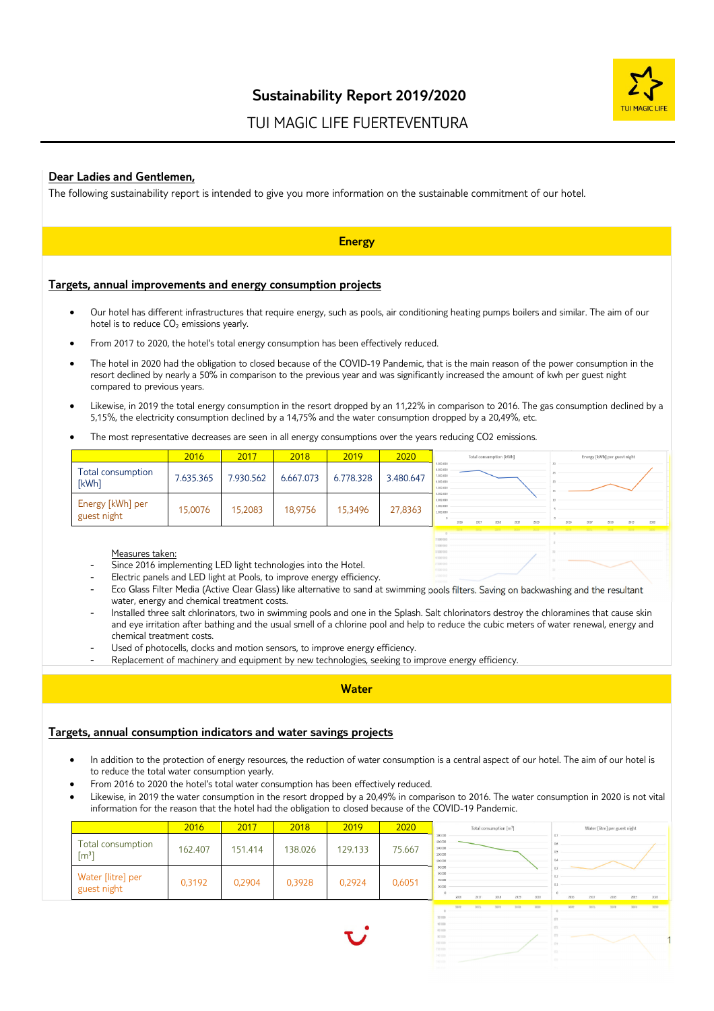

1

# TUI MAGIC LIFE FUERTEVENTURA

# **Dear Ladies and Gentlemen,**

The following sustainability report is intended to give you more information on the sustainable commitment of our hotel.

|                                                                                                              |           |           |           | <b>Energy</b> |           |                                                            |                         |                                                                                                                                                |
|--------------------------------------------------------------------------------------------------------------|-----------|-----------|-----------|---------------|-----------|------------------------------------------------------------|-------------------------|------------------------------------------------------------------------------------------------------------------------------------------------|
| Targets, annual improvements and energy consumption projects                                                 |           |           |           |               |           |                                                            |                         |                                                                                                                                                |
| hotel is to reduce CO <sub>2</sub> emissions yearly.                                                         |           |           |           |               |           |                                                            |                         | Our hotel has different infrastructures that require energy, such as pools, air conditioning heating pumps boilers and similar. The aim of our |
| From 2017 to 2020, the hotel's total energy consumption has been effectively reduced.                        |           |           |           |               |           |                                                            |                         |                                                                                                                                                |
| compared to previous years.                                                                                  |           |           |           |               |           |                                                            |                         | resort declined by nearly a 50% in comparison to the previous year and was significantly increased the amount of kwh per guest night           |
| 5,15%, the electricity consumption declined by a 14,75% and the water consumption dropped by a 20,49%, etc.  |           |           |           |               |           |                                                            |                         | Likewise, in 2019 the total energy consumption in the resort dropped by an 11,22% in comparison to 2016. The gas consumption declined by a     |
| The most representative decreases are seen in all energy consumptions over the years reducing CO2 emissions. | 2016      | 2017      | 2018      | 2019          | 2020      |                                                            | Total consumption [kWh] | Energy [kWh] per guest night                                                                                                                   |
|                                                                                                              | 7.635.365 | 7.930.562 | 6.667.073 | 6.778.328     | 3.480.647 | 9.000.000<br>8.000.00<br>7.000.00<br>6.000.000<br>5.000.00 |                         |                                                                                                                                                |
| Total consumption<br>[kWh]<br>Energy [kWh] per<br>guest night                                                | 15,0076   | 15,2083   | 18,9756   | 15,3496       | 27,8363   | 3.000.00<br>2.000.0<br>1,000,000                           |                         |                                                                                                                                                |

- Eco Glass Filter Media (Active Clear Glass) like alternative to sand at swimming pools filters. Saving on backwashing and the resultant water, energy and chemical treatment costs.
- Installed three salt chlorinators, two in swimming pools and one in the Splash. Salt chlorinators destroy the chloramines that cause skin and eye irritation after bathing and the usual smell of a chlorine pool and help to reduce the cubic meters of water renewal, energy and chemical treatment costs.
- Used of photocells, clocks and motion sensors, to improve energy efficiency.
- Replacement of machinery and equipment by new technologies, seeking to improve energy efficiency.

### **Water**

## **Targets, annual consumption indicators and water savings projects**

- In addition to the protection of energy resources, the reduction of water consumption is a central aspect of our hotel. The aim of our hotel is to reduce the total water consumption yearly.
- From 2016 to 2020 the hotel's total water consumption has been effectively reduced.
- Likewise, in 2019 the water consumption in the resort dropped by a 20,49% in comparison to 2016. The water consumption in 2020 is not vital information for the reason that the hotel had the obligation to closed because of the COVID-19 Pandemic.

|                                          | 2016    | 2017    | 2018    | 2019    | 2020   | Total consumption [m <sup>3</sup> ]                                  | Water [litre] per guest ni |
|------------------------------------------|---------|---------|---------|---------|--------|----------------------------------------------------------------------|----------------------------|
| Total consumption<br>$\lceil m^3 \rceil$ | 162.407 | 151.414 | 138.026 | 129.133 | 75.667 | 180,000<br>160,000<br>140.000<br>120.000<br>100.000                  |                            |
| Water [litre] per<br>guest night         | 0,3192  | 0.2904  | 0.3928  | 0.2924  | 0,6051 | 80,000<br>60,000<br>40,000<br>20,000<br>2019<br>2020<br>2016<br>2018 | 2018<br>2016<br>2017       |

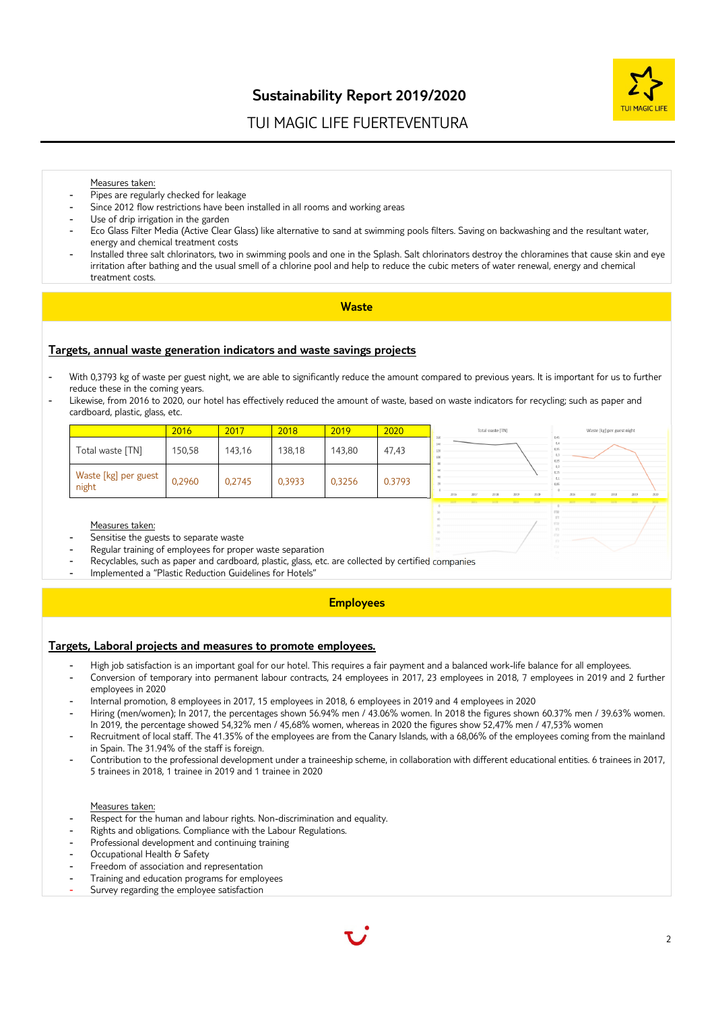

# TUI MAGIC LIFE FUERTEVENTURA

#### Measures taken:

- Pipes are regularly checked for leakage
- Since 2012 flow restrictions have been installed in all rooms and working areas
- Use of drip irrigation in the garden
- Eco Glass Filter Media (Active Clear Glass) like alternative to sand at swimming pools filters. Saving on backwashing and the resultant water, energy and chemical treatment costs
- Installed three salt chlorinators, two in swimming pools and one in the Splash. Salt chlorinators destroy the chloramines that cause skin and eye irritation after bathing and the usual smell of a chlorine pool and help to reduce the cubic meters of water renewal, energy and chemical treatment costs.

#### **Waste**

#### **Targets, annual waste generation indicators and waste savings projects**

- With 0,3793 kg of waste per guest night, we are able to significantly reduce the amount compared to previous years. It is important for us to further reduce these in the coming years.
- Likewise, from 2016 to 2020, our hotel has effectively reduced the amount of waste, based on waste indicators for recycling; such as paper and cardboard, plastic, glass, etc.

|                               | 2016   | 2017   | 2018   | 2019   | 2020   | Total waste [TN]<br>Waste [kg] per guest night                               |
|-------------------------------|--------|--------|--------|--------|--------|------------------------------------------------------------------------------|
| Total waste [TN]              | 150,58 | 143,16 | 138,18 | 143,80 | 47,43  |                                                                              |
| Waste [kg] per guest<br>night | 0,2960 | 0,2745 | 0,3933 | 0,3256 | 0.3793 | 2016<br>2020<br>2018<br>2019<br>2017<br>2018<br>2019<br>2016<br>2017<br>2020 |
|                               |        |        |        |        |        | 1998. 2011 1010 2013 2020 10:00 2013 2013 2013 2013 2013                     |

#### Measures taken:

- Sensitise the guests to separate waste
- Regular training of employees for proper waste separation
- Recyclables, such as paper and cardboard, plastic, glass, etc. are collected by certified companies
- Implemented a "Plastic Reduction Guidelines for Hotels"

#### **Employees**

#### **Targets, Laboral projects and measures to promote employees.**

- High job satisfaction is an important goal for our hotel. This requires a fair payment and a balanced work-life balance for all employees.
- Conversion of temporary into permanent labour contracts, 24 employees in 2017, 23 employees in 2018, 7 employees in 2019 and 2 further employees in 2020
- Internal promotion, 8 employees in 2017, 15 employees in 2018, 6 employees in 2019 and 4 employees in 2020
- Hiring (men/women); In 2017, the percentages shown 56.94% men / 43.06% women. In 2018 the figures shown 60.37% men / 39.63% women. In 2019, the percentage showed 54,32% men / 45,68% women, whereas in 2020 the figures show 52,47% men / 47,53% women
- Recruitment of local staff. The 41.35% of the employees are from the Canary Islands, with a 68,06% of the employees coming from the mainland in Spain. The 31.94% of the staff is foreign.
- Contribution to the professional development under a traineeship scheme, in collaboration with different educational entities. 6 trainees in 2017, 5 trainees in 2018, 1 trainee in 2019 and 1 trainee in 2020

#### Measures taken:

- Respect for the human and labour rights. Non-discrimination and equality.
- Rights and obligations. Compliance with the Labour Regulations.
- Professional development and continuing training
- Occupational Health & Safety
- Freedom of association and representation
- Training and education programs for employees
- Survey regarding the employee satisfaction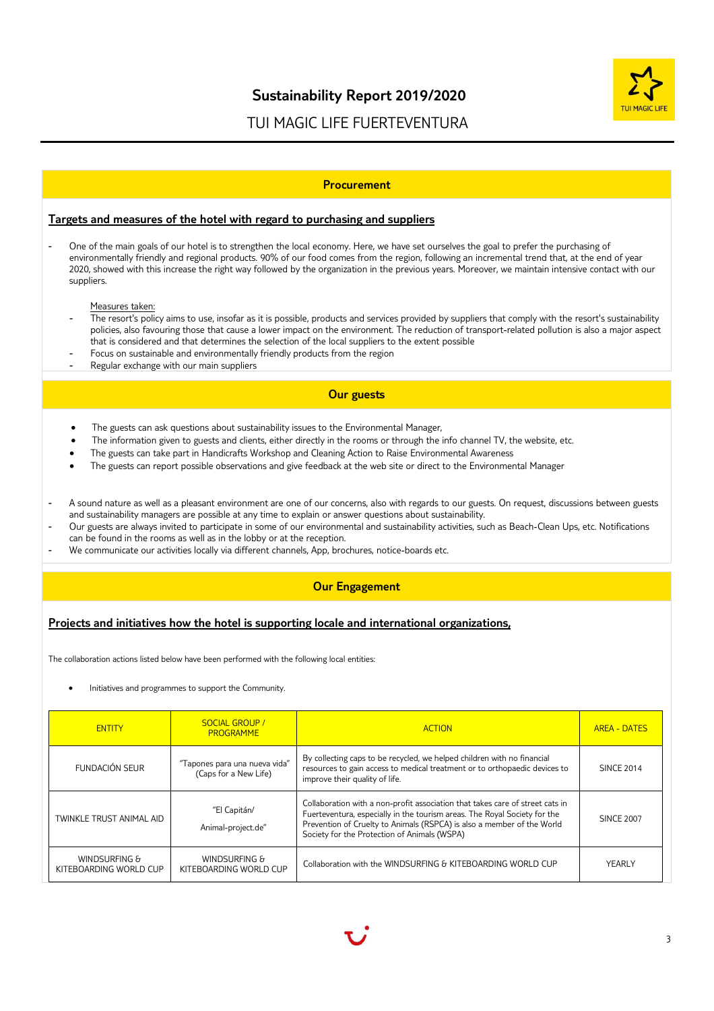

# TUI MAGIC LIFE FUERTEVENTURA

#### **Procurement**

### **Targets and measures of the hotel with regard to purchasing and suppliers**

One of the main goals of our hotel is to strengthen the local economy. Here, we have set ourselves the goal to prefer the purchasing of environmentally friendly and regional products. 90% of our food comes from the region, following an incremental trend that, at the end of year 2020, showed with this increase the right way followed by the organization in the previous years. Moreover, we maintain intensive contact with our suppliers.

#### Measures taken:

- The resort's policy aims to use, insofar as it is possible, products and services provided by suppliers that comply with the resort's sustainability policies, also favouring those that cause a lower impact on the environment. The reduction of transport-related pollution is also a major aspect that is considered and that determines the selection of the local suppliers to the extent possible
- Focus on sustainable and environmentally friendly products from the region
- Regular exchange with our main suppliers

### **Our guests**

- The guests can ask questions about sustainability issues to the Environmental Manager,
- The information given to guests and clients, either directly in the rooms or through the info channel TV, the website, etc.
- The guests can take part in Handicrafts Workshop and Cleaning Action to Raise Environmental Awareness
- The guests can report possible observations and give feedback at the web site or direct to the Environmental Manager
- A sound nature as well as a pleasant environment are one of our concerns, also with regards to our guests. On request, discussions between guests and sustainability managers are possible at any time to explain or answer questions about sustainability.
- Our guests are always invited to participate in some of our environmental and sustainability activities, such as Beach-Clean Ups, etc. Notifications can be found in the rooms as well as in the lobby or at the reception.
- We communicate our activities locally via different channels, App, brochures, notice-boards etc.

### **Our Engagement**

### **Projects and initiatives how the hotel is supporting locale and international organizations,**

The collaboration actions listed below have been performed with the following local entities:

Initiatives and programmes to support the Community.

| <b>ENTITY</b>                           | <b>SOCIAL GROUP /</b><br><b>PROGRAMME</b>              | <b>ACTION</b>                                                                                                                                                                                                                                                                        | <b>AREA - DATES</b> |
|-----------------------------------------|--------------------------------------------------------|--------------------------------------------------------------------------------------------------------------------------------------------------------------------------------------------------------------------------------------------------------------------------------------|---------------------|
| FUNDACIÓN SEUR                          | "Tapones para una nueva vida"<br>(Caps for a New Life) | By collecting caps to be recycled, we helped children with no financial<br>resources to gain access to medical treatment or to orthopaedic devices to<br>improve their quality of life.                                                                                              | <b>SINCE 2014</b>   |
| TWINKLE TRUST ANIMAL AID                | "El Capitán/<br>Animal-project.de"                     | Collaboration with a non-profit association that takes care of street cats in<br>Fuerteventura, especially in the tourism areas. The Royal Society for the<br>Prevention of Cruelty to Animals (RSPCA) is also a member of the World<br>Society for the Protection of Animals (WSPA) | <b>SINCE 2007</b>   |
| WINDSURFING &<br>KITEBOARDING WORLD CUP | WINDSURFING &<br>KITEBOARDING WORLD CUP                | Collaboration with the WINDSURFING & KITEBOARDING WORLD CUP                                                                                                                                                                                                                          | YEARLY              |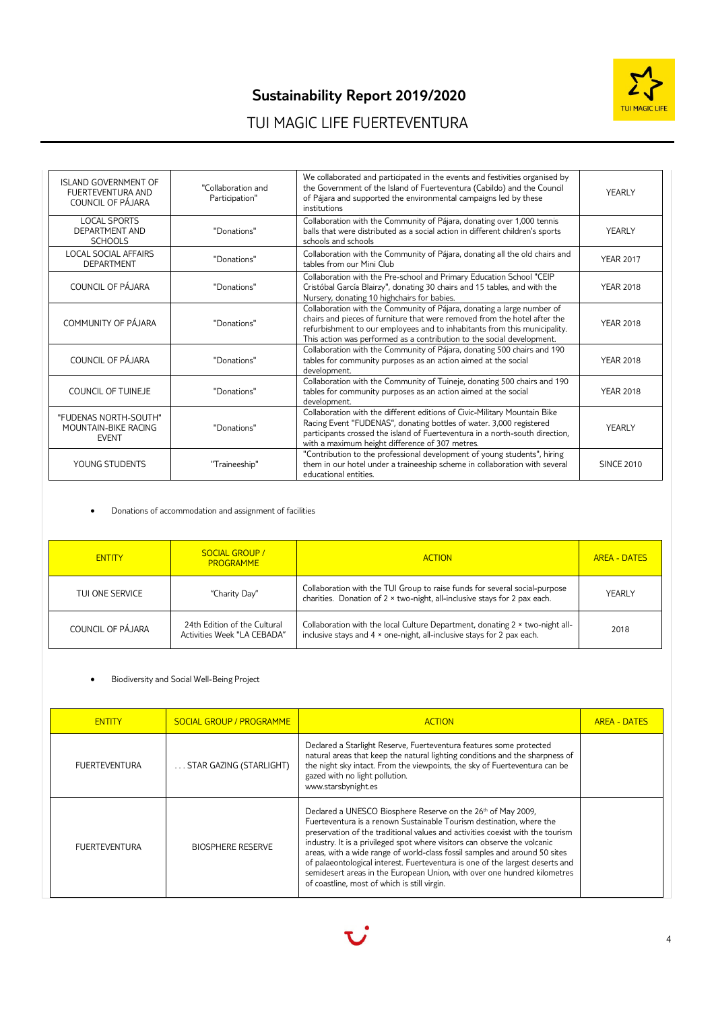

# **Sustainability Report 2019/2020**

# TUI MAGIC LIFE FUERTEVENTURA

| <b>ISLAND GOVERNMENT OF</b><br>FUERTEVENTURA AND<br>COUNCIL OF PÁJARA | "Collaboration and<br>Participation" | We collaborated and participated in the events and festivities organised by<br>the Government of the Island of Fuerteventura (Cabildo) and the Council<br>of Pájara and supported the environmental campaigns led by these<br>institutions                                                                 | YEARLY            |
|-----------------------------------------------------------------------|--------------------------------------|------------------------------------------------------------------------------------------------------------------------------------------------------------------------------------------------------------------------------------------------------------------------------------------------------------|-------------------|
| <b>LOCAL SPORTS</b><br>DEPARTMENT AND<br><b>SCHOOLS</b>               | "Donations"                          | Collaboration with the Community of Pájara, donating over 1,000 tennis<br>balls that were distributed as a social action in different children's sports<br>schools and schools                                                                                                                             | YEARLY            |
| <b>LOCAL SOCIAL AFFAIRS</b><br><b>DEPARTMENT</b>                      | "Donations"                          | Collaboration with the Community of Pájara, donating all the old chairs and<br>tables from our Mini Club                                                                                                                                                                                                   | <b>YEAR 2017</b>  |
| COUNCIL OF PÁJARA                                                     | "Donations"                          | Collaboration with the Pre-school and Primary Education School "CEIP<br>Cristóbal García Blairzy", donating 30 chairs and 15 tables, and with the<br>Nursery, donating 10 highchairs for babies.                                                                                                           | <b>YEAR 2018</b>  |
| COMMUNITY OF PÁJARA                                                   | "Donations"                          | Collaboration with the Community of Pájara, donating a large number of<br>chairs and pieces of furniture that were removed from the hotel after the<br>refurbishment to our employees and to inhabitants from this municipality.<br>This action was performed as a contribution to the social development. | <b>YEAR 2018</b>  |
| COUNCIL OF PÁJARA                                                     | "Donations"                          | Collaboration with the Community of Pájara, donating 500 chairs and 190<br>tables for community purposes as an action aimed at the social<br>development.                                                                                                                                                  | <b>YEAR 2018</b>  |
| COUNCIL OF TUINEJE                                                    | "Donations"                          | Collaboration with the Community of Tuineje, donating 500 chairs and 190<br>tables for community purposes as an action aimed at the social<br>development.                                                                                                                                                 | <b>YEAR 2018</b>  |
| "FUDENAS NORTH-SOUTH"<br>MOUNTAIN-BIKE RACING<br><b>EVENT</b>         | "Donations"                          | Collaboration with the different editions of Civic-Military Mountain Bike<br>Racing Event "FUDENAS", donating bottles of water. 3,000 registered<br>participants crossed the island of Fuerteventura in a north-south direction,<br>with a maximum height difference of 307 metres.                        | YEARLY            |
| YOUNG STUDENTS                                                        | "Traineeship"                        | "Contribution to the professional development of young students", hiring<br>them in our hotel under a traineeship scheme in collaboration with several<br>educational entities.                                                                                                                            | <b>SINCE 2010</b> |

Donations of accommodation and assignment of facilities

| <b>ENTITY</b>     | <b>SOCIAL GROUP /</b><br><b>PROGRAMME</b>                   | <b>ACTION</b>                                                                                                                                           | <b>AREA - DATES</b> |
|-------------------|-------------------------------------------------------------|---------------------------------------------------------------------------------------------------------------------------------------------------------|---------------------|
| TUI ONE SERVICE   | "Charity Day"                                               | Collaboration with the TUI Group to raise funds for several social-purpose<br>charities. Donation of 2 x two-night, all-inclusive stays for 2 pax each. | YEARLY              |
| COUNCIL OF PÁJARA | 24th Edition of the Cultural<br>Activities Week "LA CEBADA" | Collaboration with the local Culture Department, donating 2 x two-night all-<br>inclusive stays and 4 x one-night, all-inclusive stays for 2 pax each.  | 2018                |

### Biodiversity and Social Well-Being Project

| <b>ENTITY</b>        | <b>SOCIAL GROUP / PROGRAMME</b> | <b>ACTION</b>                                                                                                                                                                                                                                                                                                                                                                                                                                                                                                                                                                                              | <b>AREA - DATES</b> |
|----------------------|---------------------------------|------------------------------------------------------------------------------------------------------------------------------------------------------------------------------------------------------------------------------------------------------------------------------------------------------------------------------------------------------------------------------------------------------------------------------------------------------------------------------------------------------------------------------------------------------------------------------------------------------------|---------------------|
| <b>FUERTEVENTURA</b> | STAR GAZING (STARLIGHT)         | Declared a Starlight Reserve, Fuerteventura features some protected<br>natural areas that keep the natural lighting conditions and the sharpness of<br>the night sky intact. From the viewpoints, the sky of Fuerteventura can be<br>gazed with no light pollution.<br>www.starsbynight.es                                                                                                                                                                                                                                                                                                                 |                     |
| <b>FUERTEVENTURA</b> | <b>BIOSPHERE RESERVE</b>        | Declared a UNESCO Biosphere Reserve on the 26 <sup>th</sup> of May 2009,<br>Fuerteventura is a renown Sustainable Tourism destination, where the<br>preservation of the traditional values and activities coexist with the tourism<br>industry. It is a privileged spot where visitors can observe the volcanic<br>areas, with a wide range of world-class fossil samples and around 50 sites<br>of palaeontological interest. Fuerteventura is one of the largest deserts and<br>semidesert areas in the European Union, with over one hundred kilometres<br>of coastline, most of which is still virgin. |                     |